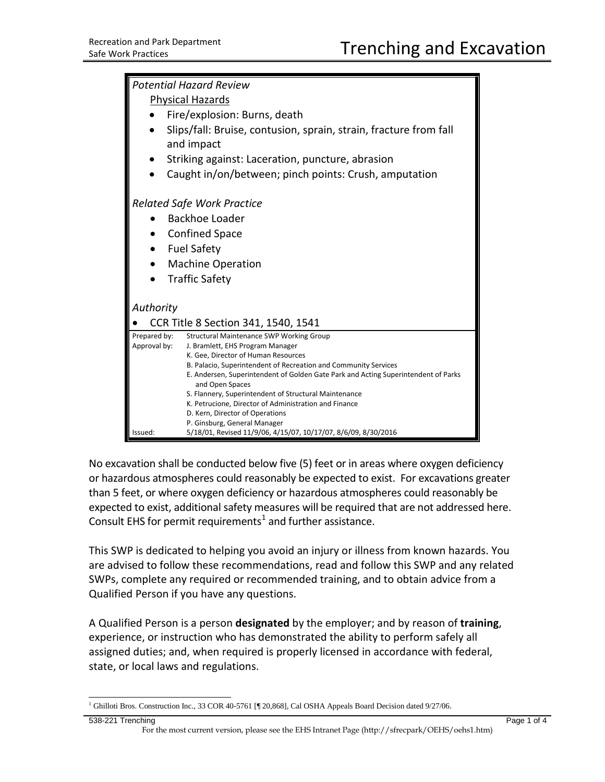| <b>Potential Hazard Review</b>      |                                                                                                                                                       |
|-------------------------------------|-------------------------------------------------------------------------------------------------------------------------------------------------------|
| <b>Physical Hazards</b>             |                                                                                                                                                       |
|                                     | Fire/explosion: Burns, death                                                                                                                          |
|                                     | Slips/fall: Bruise, contusion, sprain, strain, fracture from fall<br>and impact                                                                       |
|                                     | Striking against: Laceration, puncture, abrasion                                                                                                      |
|                                     | Caught in/on/between; pinch points: Crush, amputation                                                                                                 |
| <b>Related Safe Work Practice</b>   |                                                                                                                                                       |
|                                     | Backhoe Loader                                                                                                                                        |
|                                     | <b>Confined Space</b>                                                                                                                                 |
| <b>Fuel Safety</b><br>$\bullet$     |                                                                                                                                                       |
| <b>Machine Operation</b>            |                                                                                                                                                       |
|                                     | <b>Traffic Safety</b>                                                                                                                                 |
| Authority                           |                                                                                                                                                       |
| CCR Title 8 Section 341, 1540, 1541 |                                                                                                                                                       |
| Prepared by:                        | <b>Structural Maintenance SWP Working Group</b>                                                                                                       |
| Approval by:                        | J. Bramlett, EHS Program Manager                                                                                                                      |
|                                     | K. Gee, Director of Human Resources                                                                                                                   |
|                                     | B. Palacio, Superintendent of Recreation and Community Services<br>E. Andersen, Superintendent of Golden Gate Park and Acting Superintendent of Parks |
|                                     | and Open Spaces                                                                                                                                       |
|                                     | S. Flannery, Superintendent of Structural Maintenance                                                                                                 |
|                                     | K. Petrucione, Director of Administration and Finance                                                                                                 |
|                                     | D. Kern, Director of Operations                                                                                                                       |
| Issued:                             | P. Ginsburg, General Manager<br>5/18/01, Revised 11/9/06, 4/15/07, 10/17/07, 8/6/09, 8/30/2016                                                        |

No excavation shall be conducted below five (5) feet or in areas where oxygen deficiency or hazardous atmospheres could reasonably be expected to exist. For excavations greater than 5 feet, or where oxygen deficiency or hazardous atmospheres could reasonably be expected to exist, additional safety measures will be required that are not addressed here. Consult EHS for permit requirements<sup>[1](#page-0-0)</sup> and further assistance.

This SWP is dedicated to helping you avoid an injury or illness from known hazards. You are advised to follow these recommendations, read and follow this SWP and any related SWPs, complete any required or recommended training, and to obtain advice from a Qualified Person if you have any questions.

A Qualified Person is a person **designated** by the employer; and by reason of **training**, experience, or instruction who has demonstrated the ability to perform safely all assigned duties; and, when required is properly licensed in accordance with federal, state, or local laws and regulations.

<span id="page-0-0"></span><sup>&</sup>lt;sup>1</sup> Ghilloti Bros. Construction Inc., 33 COR 40-5761 [¶ 20,868], Cal OSHA Appeals Board Decision dated 9/27/06.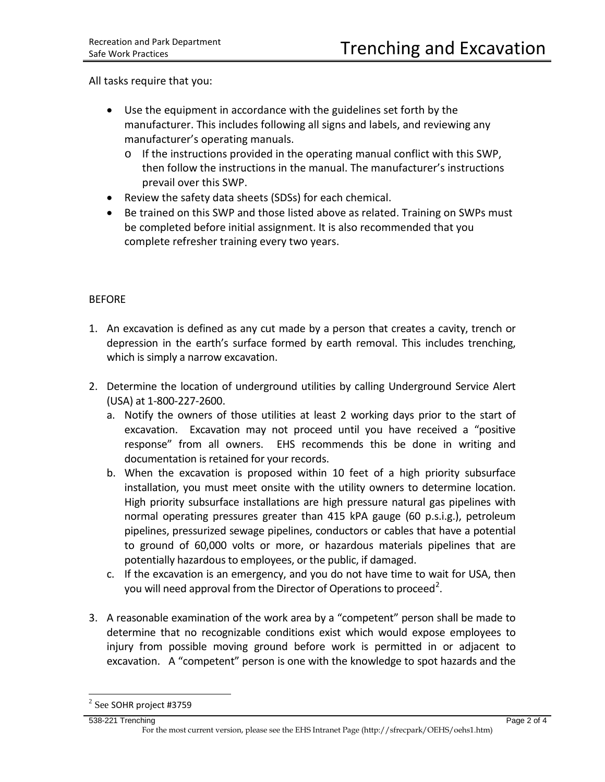All tasks require that you:

- Use the equipment in accordance with the guidelines set forth by the manufacturer. This includes following all signs and labels, and reviewing any manufacturer's operating manuals.
	- $\circ$  If the instructions provided in the operating manual conflict with this SWP, then follow the instructions in the manual. The manufacturer's instructions prevail over this SWP.
- Review the safety data sheets (SDSs) for each chemical.
- Be trained on this SWP and those listed above as related. Training on SWPs must be completed before initial assignment. It is also recommended that you complete refresher training every two years.

## BEFORE

- 1. An excavation is defined as any cut made by a person that creates a cavity, trench or depression in the earth's surface formed by earth removal. This includes trenching, which is simply a narrow excavation.
- 2. Determine the location of underground utilities by calling Underground Service Alert (USA) at 1-800-227-2600.
	- a. Notify the owners of those utilities at least 2 working days prior to the start of excavation. Excavation may not proceed until you have received a "positive response" from all owners. EHS recommends this be done in writing and documentation is retained for your records.
	- b. When the excavation is proposed within 10 feet of a high priority subsurface installation, you must meet onsite with the utility owners to determine location. High priority subsurface installations are high pressure natural gas pipelines with normal operating pressures greater than 415 kPA gauge (60 p.s.i.g.), petroleum pipelines, pressurized sewage pipelines, conductors or cables that have a potential to ground of 60,000 volts or more, or hazardous materials pipelines that are potentially hazardous to employees, or the public, if damaged.
	- c. If the excavation is an emergency, and you do not have time to wait for USA, then you will need approval from the Director of Operations to proceed<sup>[2](#page-1-0)</sup>.
- 3. A reasonable examination of the work area by a "competent" person shall be made to determine that no recognizable conditions exist which would expose employees to injury from possible moving ground before work is permitted in or adjacent to excavation. A "competent" person is one with the knowledge to spot hazards and the

<span id="page-1-0"></span> $2$  See SOHR project #3759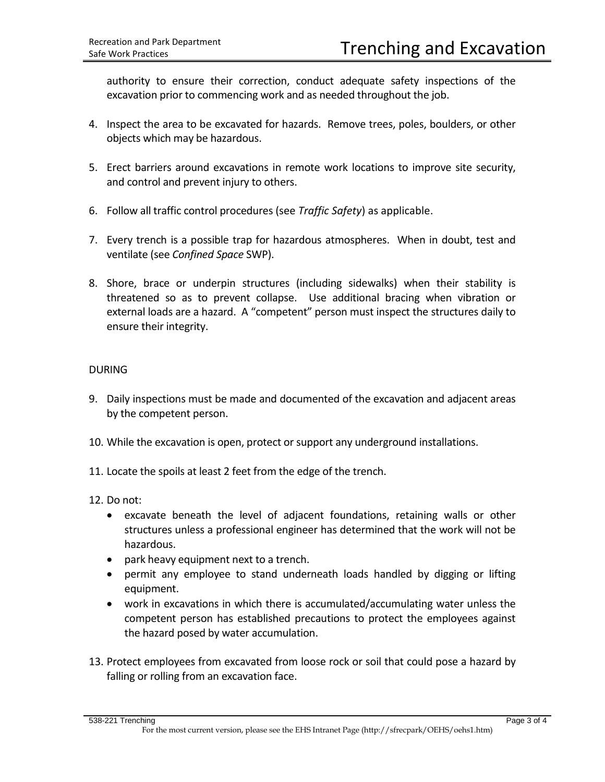authority to ensure their correction, conduct adequate safety inspections of the excavation prior to commencing work and as needed throughout the job.

- 4. Inspect the area to be excavated for hazards. Remove trees, poles, boulders, or other objects which may be hazardous.
- 5. Erect barriers around excavations in remote work locations to improve site security, and control and prevent injury to others.
- 6. Follow all traffic control procedures (see *Traffic Safety*) as applicable.
- 7. Every trench is a possible trap for hazardous atmospheres. When in doubt, test and ventilate (see *Confined Space* SWP).
- 8. Shore, brace or underpin structures (including sidewalks) when their stability is threatened so as to prevent collapse. Use additional bracing when vibration or external loads are a hazard. A "competent" person must inspect the structures daily to ensure their integrity.

## DURING

- 9. Daily inspections must be made and documented of the excavation and adjacent areas by the competent person.
- 10. While the excavation is open, protect or support any underground installations.
- 11. Locate the spoils at least 2 feet from the edge of the trench.
- 12. Do not:
	- excavate beneath the level of adjacent foundations, retaining walls or other structures unless a professional engineer has determined that the work will not be hazardous.
	- park heavy equipment next to a trench.
	- permit any employee to stand underneath loads handled by digging or lifting equipment.
	- work in excavations in which there is accumulated/accumulating water unless the competent person has established precautions to protect the employees against the hazard posed by water accumulation.
- 13. Protect employees from excavated from loose rock or soil that could pose a hazard by falling or rolling from an excavation face.